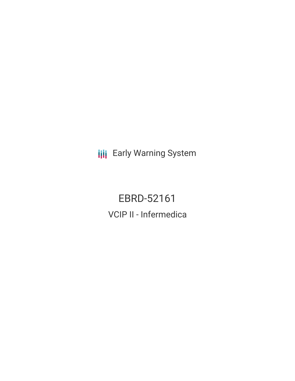**III** Early Warning System

EBRD-52161 VCIP II - Infermedica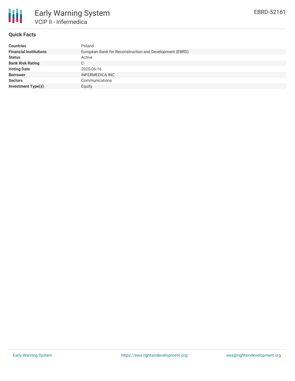

### **Quick Facts**

| <b>Countries</b>              | Poland                                                  |
|-------------------------------|---------------------------------------------------------|
| <b>Financial Institutions</b> | European Bank for Reconstruction and Development (EBRD) |
| <b>Status</b>                 | Active                                                  |
| <b>Bank Risk Rating</b>       | C.                                                      |
| <b>Voting Date</b>            | 2020-06-16                                              |
| <b>Borrower</b>               | <b>INFERMEDICA INC</b>                                  |
| <b>Sectors</b>                | Communications                                          |
| <b>Investment Type(s)</b>     | Equity                                                  |
|                               |                                                         |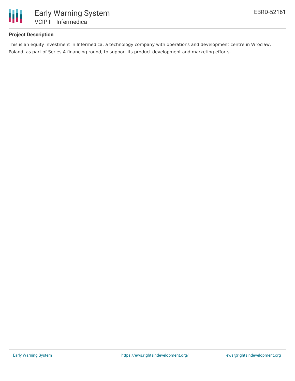

# **Project Description**

This is an equity investment in Infermedica, a technology company with operations and development centre in Wroclaw, Poland, as part of Series A financing round, to support its product development and marketing efforts.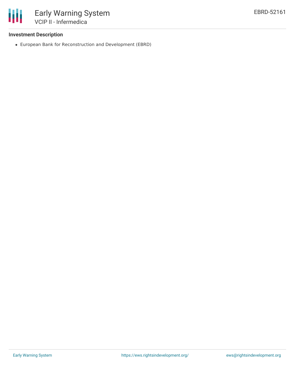

#### **Investment Description**

European Bank for Reconstruction and Development (EBRD)